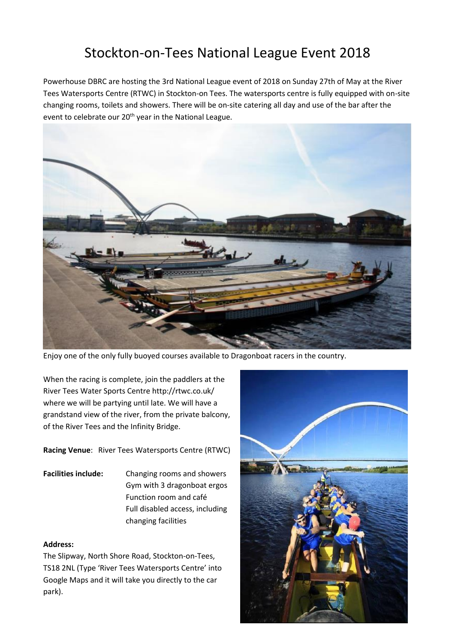# Stockton-on-Tees National League Event 2018

Powerhouse DBRC are hosting the 3rd National League event of 2018 on Sunday 27th of May at the River Tees Watersports Centre (RTWC) in Stockton-on Tees. The watersports centre is fully equipped with on-site changing rooms, toilets and showers. There will be on-site catering all day and use of the bar after the event to celebrate our 20<sup>th</sup> year in the National League.



Enjoy one of the only fully buoyed courses available to Dragonboat racers in the country.

When the racing is complete, join the paddlers at the River Tees Water Sports Centre http://rtwc.co.uk/ where we will be partying until late. We will have a grandstand view of the river, from the private balcony, of the River Tees and the Infinity Bridge.

**Racing Venue**: River Tees Watersports Centre (RTWC)

**Facilities include:** Changing rooms and showers Gym with 3 dragonboat ergos Function room and café Full disabled access, including changing facilities

#### **Address:**

The Slipway, North Shore Road, Stockton-on-Tees, TS18 2NL (Type 'River Tees Watersports Centre' into Google Maps and it will take you directly to the car park).

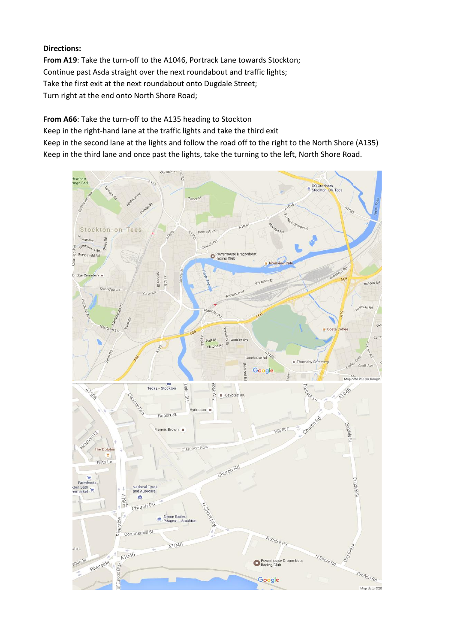# **Directions:**

**From A19**: Take the turn-off to the A1046, Portrack Lane towards Stockton; Continue past Asda straight over the next roundabout and traffic lights; Take the first exit at the next roundabout onto Dugdale Street; Turn right at the end onto North Shore Road;

**From A66**: Take the turn-off to the A135 heading to Stockton

Keep in the right-hand lane at the traffic lights and take the third exit

Keep in the second lane at the lights and follow the road off to the right to the North Shore (A135) Keep in the third lane and once past the lights, take the turning to the left, North Shore Road.

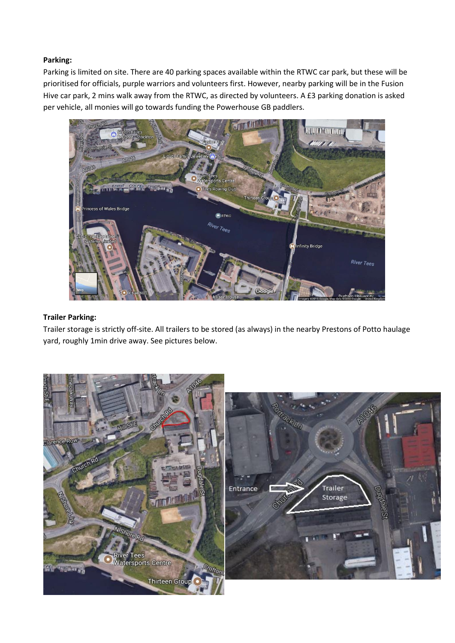# **Parking:**

Parking is limited on site. There are 40 parking spaces available within the RTWC car park, but these will be prioritised for officials, purple warriors and volunteers first. However, nearby parking will be in the Fusion Hive car park, 2 mins walk away from the RTWC, as directed by volunteers. A £3 parking donation is asked per vehicle, all monies will go towards funding the Powerhouse GB paddlers.



# **Trailer Parking:**

Trailer storage is strictly off-site. All trailers to be stored (as always) in the nearby Prestons of Potto haulage yard, roughly 1min drive away. See pictures below.

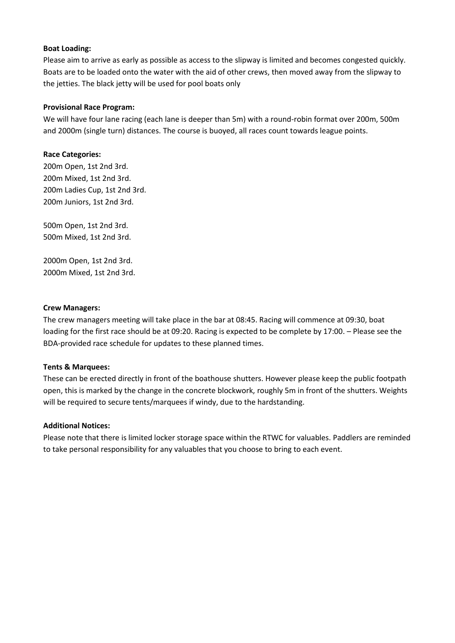### **Boat Loading:**

Please aim to arrive as early as possible as access to the slipway is limited and becomes congested quickly. Boats are to be loaded onto the water with the aid of other crews, then moved away from the slipway to the jetties. The black jetty will be used for pool boats only

### **Provisional Race Program:**

We will have four lane racing (each lane is deeper than 5m) with a round-robin format over 200m, 500m and 2000m (single turn) distances. The course is buoyed, all races count towards league points.

# **Race Categories:**

200m Open, 1st 2nd 3rd. 200m Mixed, 1st 2nd 3rd. 200m Ladies Cup, 1st 2nd 3rd. 200m Juniors, 1st 2nd 3rd.

500m Open, 1st 2nd 3rd. 500m Mixed, 1st 2nd 3rd.

2000m Open, 1st 2nd 3rd. 2000m Mixed, 1st 2nd 3rd.

#### **Crew Managers:**

The crew managers meeting will take place in the bar at 08:45. Racing will commence at 09:30, boat loading for the first race should be at 09:20. Racing is expected to be complete by 17:00. – Please see the BDA-provided race schedule for updates to these planned times.

#### **Tents & Marquees:**

These can be erected directly in front of the boathouse shutters. However please keep the public footpath open, this is marked by the change in the concrete blockwork, roughly 5m in front of the shutters. Weights will be required to secure tents/marquees if windy, due to the hardstanding.

#### **Additional Notices:**

Please note that there is limited locker storage space within the RTWC for valuables. Paddlers are reminded to take personal responsibility for any valuables that you choose to bring to each event.